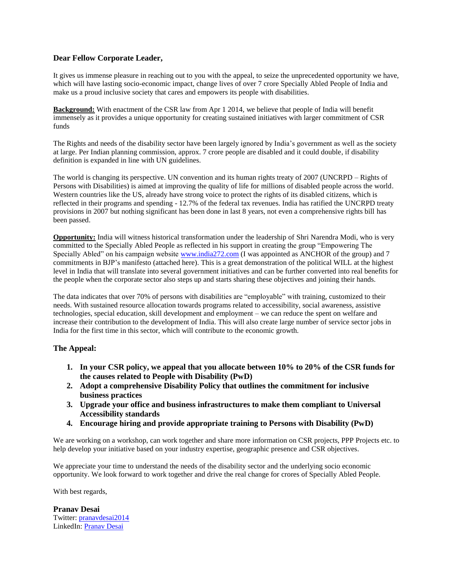## **Dear Fellow Corporate Leader,**

It gives us immense pleasure in reaching out to you with the appeal, to seize the unprecedented opportunity we have, which will have lasting socio-economic impact, change lives of over 7 crore Specially Abled People of India and make us a proud inclusive society that cares and empowers its people with disabilities.

**Background:** With enactment of the CSR law from Apr 1 2014, we believe that people of India will benefit immensely as it provides a unique opportunity for creating sustained initiatives with larger commitment of CSR funds

The Rights and needs of the disability sector have been largely ignored by India's government as well as the society at large. Per Indian planning commission, approx. 7 crore people are disabled and it could double, if disability definition is expanded in line with UN guidelines.

The world is changing its perspective. UN convention and its human rights treaty of 2007 (UNCRPD – Rights of Persons with Disabilities) is aimed at improving the quality of life for millions of disabled people across the world. Western countries like the US, already have strong voice to protect the rights of its disabled citizens, which is reflected in their programs and spending - 12.7% of the federal tax revenues. India has ratified the UNCRPD treaty provisions in 2007 but nothing significant has been done in last 8 years, not even a comprehensive rights bill has been passed.

**Opportunity:** India will witness historical transformation under the leadership of Shri Narendra Modi, who is very committed to the Specially Abled People as reflected in his support in creating the group "Empowering The Specially Abled" on his campaign website [www.india272.com](http://www.india272.com/) (I was appointed as ANCHOR of the group) and 7 commitments in BJP's manifesto (attached here). This is a great demonstration of the political WILL at the highest level in India that will translate into several government initiatives and can be further converted into real benefits for the people when the corporate sector also steps up and starts sharing these objectives and joining their hands.

The data indicates that over 70% of persons with disabilities are "employable" with training, customized to their needs. With sustained resource allocation towards programs related to accessibility, social awareness, assistive technologies, special education, skill development and employment – we can reduce the spent on welfare and increase their contribution to the development of India. This will also create large number of service sector jobs in India for the first time in this sector, which will contribute to the economic growth.

## **The Appeal:**

- **1. In your CSR policy, we appeal that you allocate between 10% to 20% of the CSR funds for the causes related to People with Disability (PwD)**
- **2. Adopt a comprehensive Disability Policy that outlines the commitment for inclusive business practices**
- **3. Upgrade your office and business infrastructures to make them compliant to Universal Accessibility standards**
- **4. Encourage hiring and provide appropriate training to Persons with Disability (PwD)**

We are working on a workshop, can work together and share more information on CSR projects, PPP Projects etc. to help develop your initiative based on your industry expertise, geographic presence and CSR objectives.

We appreciate your time to understand the needs of the disability sector and the underlying socio economic opportunity. We look forward to work together and drive the real change for crores of Specially Abled People.

## With best regards,

**Pranav Desai** Twitter[: pranavdesai2014](https://twitter.com/pranavdesai2014) LinkedIn: [Pranav Desai](https://www.linkedin.com/in/pranavpdesai)